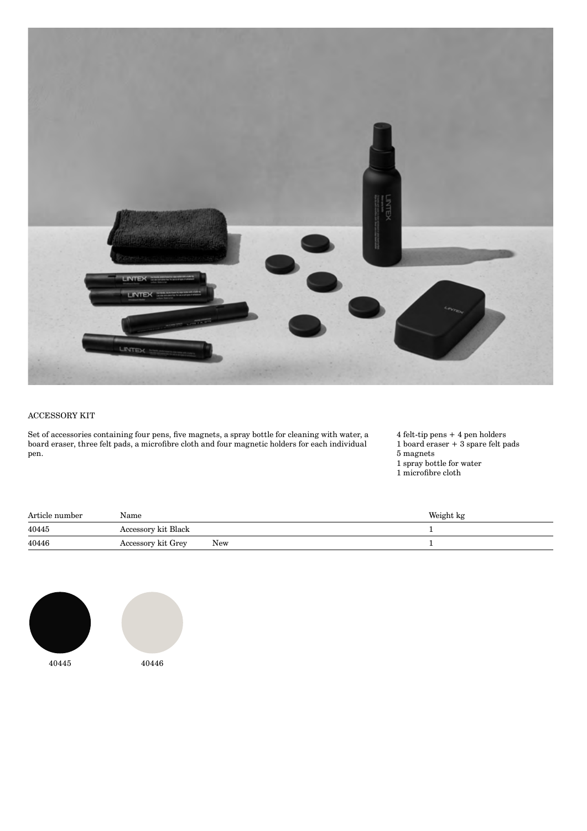

## ACCESSORY KIT

Set of accessories containing four pens, five magnets, a spray bottle for cleaning with water, a board eraser, three felt pads, a microfibre cloth and four magnetic holders for each individual pen.

4 felt-tip pens + 4 pen holders 1 board eraser + 3 spare felt pads

5 magnets

1 spray bottle for water

1 microfibre cloth

| Article number | Name                |     | Weight kg |
|----------------|---------------------|-----|-----------|
| 40445          | Accessory kit Black |     |           |
| 40446          | Accessory kit Grey  | New |           |